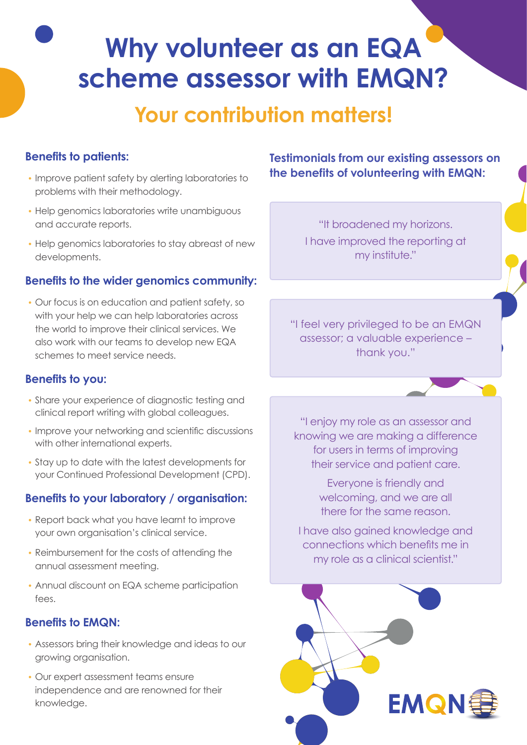# **Why volunteer as an EQA scheme assessor with EMQN?**

# **Your contribution matters!**

#### **Benefits to patients:**

- Improve patient safety by alerting laboratories to problems with their methodology.
- Help genomics laboratories write unambiguous and accurate reports.
- Help genomics laboratories to stay abreast of new developments.

#### **Benefits to the wider genomics community:**

• Our focus is on education and patient safety, so with your help we can help laboratories across the world to improve their clinical services. We also work with our teams to develop new EQA schemes to meet service needs.

#### **Benefits to you:**

- Share your experience of diagnostic testing and clinical report writing with global colleagues.
- Improve your networking and scientific discussions with other international experts.
- Stay up to date with the latest developments for your Continued Professional Development (CPD).

#### **Benefits to your laboratory / organisation:**

- Report back what you have learnt to improve your own organisation's clinical service.
- Reimbursement for the costs of attending the annual assessment meeting.
- Annual discount on EQA scheme participation fees.

#### **Benefits to EMQN:**

- Assessors bring their knowledge and ideas to our growing organisation.
- Our expert assessment teams ensure independence and are renowned for their knowledge.

**Testimonials from our existing assessors on the benefits of volunteering with EMQN:** 

> "It broadened my horizons. I have improved the reporting at my institute."

"I feel very privileged to be an EMQN assessor; a valuable experience – thank you."

"I enjoy my role as an assessor and knowing we are making a difference for users in terms of improving their service and patient care.

> Everyone is friendly and welcoming, and we are all there for the same reason.

I have also gained knowledge and connections which benefits me in my role as a clinical scientist."